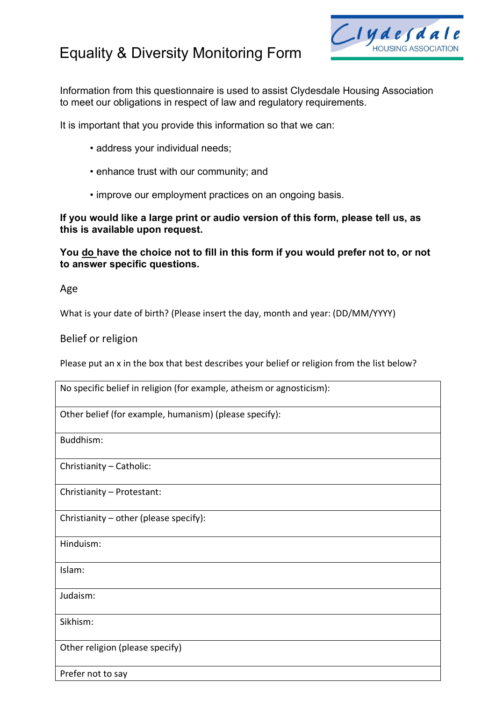# Equality & Diversity Monitoring Form



Information from this questionnaire is used to assist Clydesdale Housing Association to meet our obligations in respect of law and regulatory requirements.

It is important that you provide this information so that we can:

- address your individual needs;
- enhance trust with our community; and
- improve our employment practices on an ongoing basis.

**If you would like a large print or audio version of this form, please tell us, as this is available upon request.**

**You do have the choice not to fill in this form if you would prefer not to, or not to answer specific questions.**

Age

What is your date of birth? (Please insert the day, month and year: (DD/MM/YYYY)

Belief or religion

Please put an x in the box that best describes your belief or religion from the list below?

| No specific belief in religion (for example, atheism or agnosticism): |
|-----------------------------------------------------------------------|
| Other belief (for example, humanism) (please specify):                |
| Buddhism:                                                             |
| Christianity - Catholic:                                              |
| Christianity - Protestant:                                            |
| Christianity - other (please specify):                                |
| Hinduism:                                                             |
| Islam:                                                                |
| Judaism:                                                              |
| Sikhism:                                                              |
| Other religion (please specify)                                       |
| Prefer not to say                                                     |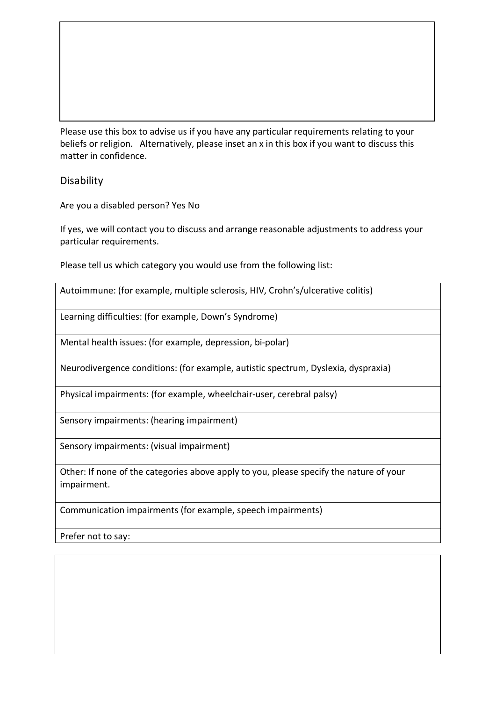Please use this box to advise us if you have any particular requirements relating to your beliefs or religion. Alternatively, please inset an x in this box if you want to discuss this matter in confidence.

# Disability

Are you a disabled person? Yes No

If yes, we will contact you to discuss and arrange reasonable adjustments to address your particular requirements.

Please tell us which category you would use from the following list:

|  |  |  |  | Autoimmune: (for example, multiple sclerosis, HIV, Crohn's/ulcerative colitis) |
|--|--|--|--|--------------------------------------------------------------------------------|
|--|--|--|--|--------------------------------------------------------------------------------|

Learning difficulties: (for example, Down's Syndrome)

Mental health issues: (for example, depression, bi-polar)

Neurodivergence conditions: (for example, autistic spectrum, Dyslexia, dyspraxia)

Physical impairments: (for example, wheelchair-user, cerebral palsy)

Sensory impairments: (hearing impairment)

Sensory impairments: (visual impairment)

Other: If none of the categories above apply to you, please specify the nature of your impairment.

Communication impairments (for example, speech impairments)

Prefer not to say: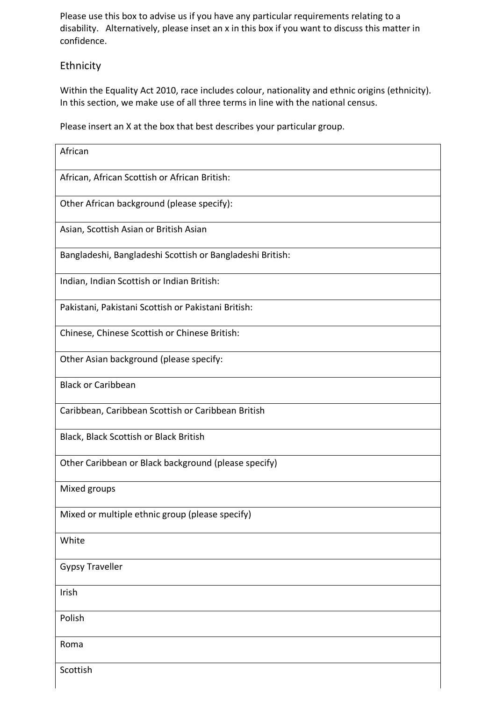Please use this box to advise us if you have any particular requirements relating to a disability. Alternatively, please inset an x in this box if you want to discuss this matter in confidence.

# Ethnicity

Within the Equality Act 2010, race includes colour, nationality and ethnic origins (ethnicity). In this section, we make use of all three terms in line with the national census.

Please insert an X at the box that best describes your particular group.

| African                                                   |
|-----------------------------------------------------------|
| African, African Scottish or African British:             |
| Other African background (please specify):                |
| Asian, Scottish Asian or British Asian                    |
| Bangladeshi, Bangladeshi Scottish or Bangladeshi British: |
| Indian, Indian Scottish or Indian British:                |
| Pakistani, Pakistani Scottish or Pakistani British:       |
| Chinese, Chinese Scottish or Chinese British:             |
| Other Asian background (please specify:                   |
| <b>Black or Caribbean</b>                                 |
| Caribbean, Caribbean Scottish or Caribbean British        |
| Black, Black Scottish or Black British                    |
| Other Caribbean or Black background (please specify)      |
| Mixed groups                                              |
| Mixed or multiple ethnic group (please specify)           |
| White                                                     |
| <b>Gypsy Traveller</b>                                    |
| Irish                                                     |
| Polish                                                    |
| Roma                                                      |
| Scottish                                                  |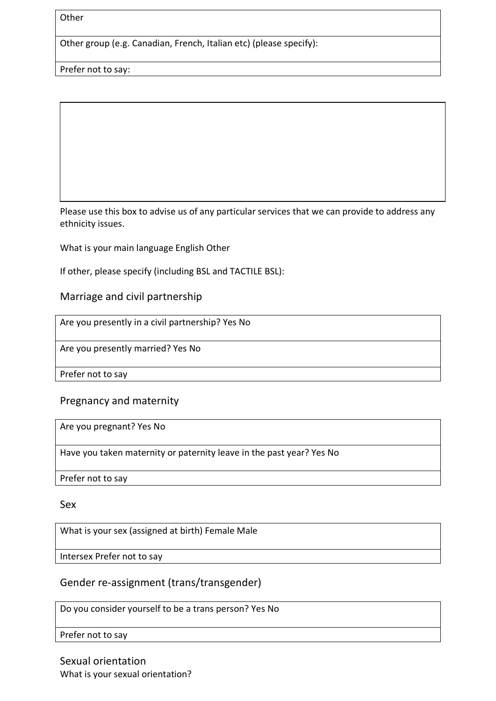**Other** 

Other group (e.g. Canadian, French, Italian etc) (please specify):

Prefer not to say:

Please use this box to advise us of any particular services that we can provide to address any ethnicity issues.

What is your main language English Other

If other, please specify (including BSL and TACTILE BSL):

#### Marriage and civil partnership

Are you presently in a civil partnership? Yes No

Are you presently married? Yes No

Prefer not to say

#### Pregnancy and maternity

Are you pregnant? Yes No

Have you taken maternity or paternity leave in the past year? Yes No

Prefer not to say

Sex

What is your sex (assigned at birth) Female Male

Intersex Prefer not to say

# Gender re-assignment (trans/transgender)

Do you consider yourself to be a trans person? Yes No

Prefer not to say

Sexual orientation What is your sexual orientation?